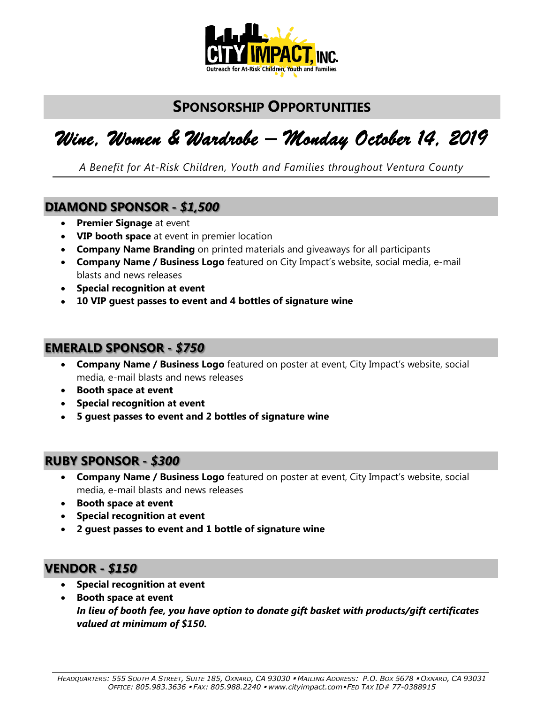

### **SPONSORSHIP OPPORTUNITIES**

# *Wine, Women & Wardrobe – Monday October 14, 2019*

*A Benefit for At-Risk Children, Youth and Families throughout Ventura County*

#### **DIAMOND SPONSOR -** *\$1,500*

- **Premier Signage** at event
- **VIP booth space** at event in premier location
- **Company Name Branding** on printed materials and giveaways for all participants
- **Company Name / Business Logo** featured on City Impact's website, social media, e-mail blasts and news releases
- **Special recognition at event**
- **10 VIP guest passes to event and 4 bottles of signature wine**

#### **EMERALD SPONSOR -** *\$750*

- **Company Name / Business Logo** featured on poster at event, City Impact's website, social media, e-mail blasts and news releases
- **Booth space at event**
- **Special recognition at event**
- **5 guest passes to event and 2 bottles of signature wine**

#### **RUBY SPONSOR -** *\$300*

- **Company Name / Business Logo** featured on poster at event, City Impact's website, social media, e-mail blasts and news releases
- **Booth space at event**
- **Special recognition at event**
- **2 guest passes to event and 1 bottle of signature wine**

#### **VENDOR -** *\$150*

- **Special recognition at event**
- **Booth space at event**  *In lieu of booth fee, you have option to donate gift basket with products/gift certificates valued at minimum of \$150.*